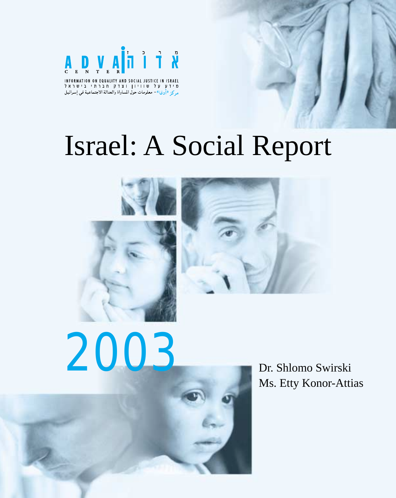

INFORMATION ON EQUALITY AND SOCIAL JUSTICE IN ISRAEL<br>מידע על שוויון וצדק חברתי בישראל مركز «أدفا»- معلومات حول المساواة والعدالة الاجتماعية في إسرائيل

# Israel: A Social Report







Dr. Shlomo Swirski Ms. Etty Konor-Attias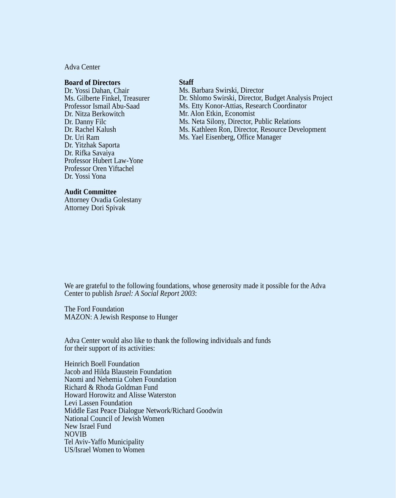#### Adva Center

#### **Board of Directors**

Dr. Yossi Dahan, Chair Ms. Gilberte Finkel, Treasurer Professor Ismail Abu-Saad Dr. Nitza Berkowitch Dr. Danny Filc Dr. Rachel Kalush Dr. Uri Ram Dr. Yitzhak Saporta Dr. Rifka Savaiya Professor Hubert Law-Yone Professor Oren Yiftachel Dr. Yossi Yona

#### **Staff**

Ms. Barbara Swirski, Director Dr. Shlomo Swirski, Director, Budget Analysis Project Ms. Etty Konor-Attias, Research Coordinator Mr. Alon Etkin, Economist Ms. Neta Silony, Director, Public Relations Ms. Kathleen Ron, Director, Resource Development Ms. Yael Eisenberg, Office Manager

#### **Audit Committee**

Attorney Ovadia Golestany Attorney Dori Spivak

We are grateful to the following foundations, whose generosity made it possible for the Adva Center to publish *Israel: A Social Report 2003*:

The Ford Foundation MAZON: A Jewish Response to Hunger

Adva Center would also like to thank the following individuals and funds for their support of its activities:

Heinrich Boell Foundation Jacob and Hilda Blaustein Foundation Naomi and Nehemia Cohen Foundation Richard & Rhoda Goldman Fund Howard Horowitz and Alisse Waterston Levi Lassen Foundation Middle East Peace Dialogue Network/Richard Goodwin National Council of Jewish Women New Israel Fund NOVIB Tel Aviv-Yaffo Municipality US/Israel Women to Women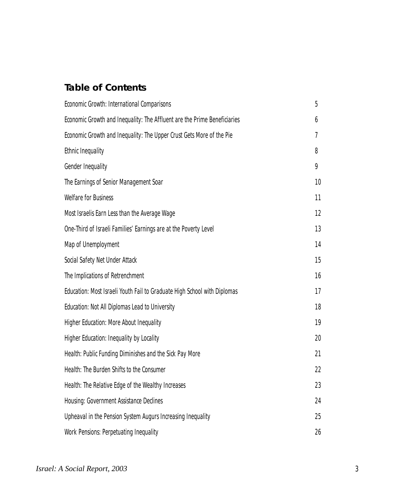### **Table of Contents**

| <b>Economic Growth: International Comparisons</b>                        | 5  |
|--------------------------------------------------------------------------|----|
| Economic Growth and Inequality: The Affluent are the Prime Beneficiaries | 6  |
| Economic Growth and Inequality: The Upper Crust Gets More of the Pie     | 7  |
| <b>Ethnic Inequality</b>                                                 | 8  |
| <b>Gender Inequality</b>                                                 | 9  |
| The Earnings of Senior Management Soar                                   | 10 |
| <b>Welfare for Business</b>                                              | 11 |
| Most Israelis Earn Less than the Average Wage                            | 12 |
| One-Third of Israeli Families' Earnings are at the Poverty Level         | 13 |
| Map of Unemployment                                                      | 14 |
| Social Safety Net Under Attack                                           | 15 |
| The Implications of Retrenchment                                         | 16 |
| Education: Most Israeli Youth Fail to Graduate High School with Diplomas | 17 |
| <b>Education: Not All Diplomas Lead to University</b>                    | 18 |
| <b>Higher Education: More About Inequality</b>                           | 19 |
| <b>Higher Education: Inequality by Locality</b>                          | 20 |
| Health: Public Funding Diminishes and the Sick Pay More                  | 21 |
| Health: The Burden Shifts to the Consumer                                | 22 |
| Health: The Relative Edge of the Wealthy Increases                       | 23 |
| <b>Housing: Government Assistance Declines</b>                           | 24 |
| Upheaval in the Pension System Augurs Increasing Inequality              | 25 |
| <b>Work Pensions: Perpetuating Inequality</b>                            | 26 |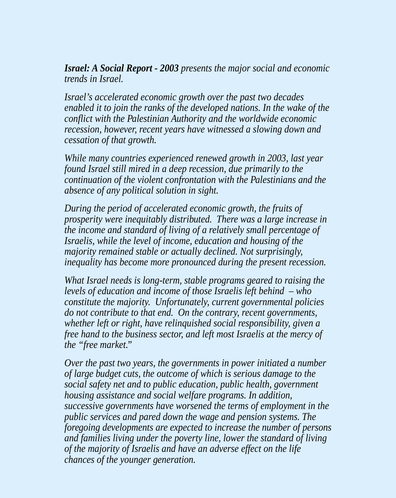*Israel: A Social Report - 2003 presents the major social and economic trends in Israel.*

*Israel's accelerated economic growth over the past two decades enabled it to join the ranks of the developed nations. In the wake of the conflict with the Palestinian Authority and the worldwide economic recession, however, recent years have witnessed a slowing down and cessation of that growth.*

*While many countries experienced renewed growth in 2003, last year found Israel still mired in a deep recession, due primarily to the continuation of the violent confrontation with the Palestinians and the absence of any political solution in sight.*

*During the period of accelerated economic growth, the fruits of prosperity were inequitably distributed. There was a large increase in the income and standard of living of a relatively small percentage of Israelis, while the level of income, education and housing of the majority remained stable or actually declined. Not surprisingly, inequality has become more pronounced during the present recession.*

*What Israel needs is long-term, stable programs geared to raising the levels of education and income of those Israelis left behind – who constitute the majority. Unfortunately, current governmental policies do not contribute to that end. On the contrary, recent governments, whether left or right, have relinquished social responsibility, given a free hand to the business sector, and left most Israelis at the mercy of the "free market."*

*Over the past two years, the governments in power initiated a number of large budget cuts, the outcome of which is serious damage to the social safety net and to public education, public health, government housing assistance and social welfare programs. In addition, successive governments have worsened the terms of employment in the public services and pared down the wage and pension systems. The foregoing developments are expected to increase the number of persons and families living under the poverty line, lower the standard of living of the majority of Israelis and have an adverse effect on the life chances of the younger generation.*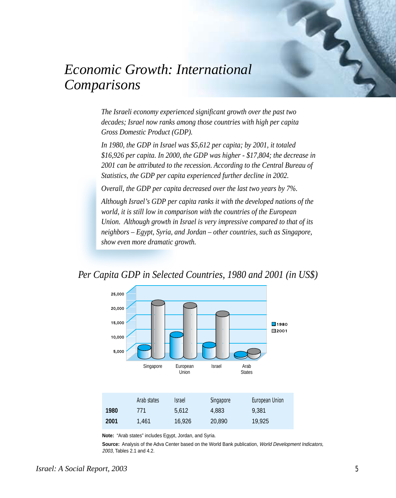

# *Economic Growth: International Comparisons*

*The Israeli economy experienced significant growth over the past two decades; Israel now ranks among those countries with high per capita Gross Domestic Product (GDP).*

*In 1980, the GDP in Israel was \$5,612 per capita; by 2001, it totaled \$16,926 per capita. In 2000, the GDP was higher - \$17,804; the decrease in 2001 can be attributed to the recession. According to the Central Bureau of Statistics, the GDP per capita experienced further decline in 2002.*

*Overall, the GDP per capita decreased over the last two years by 7%.*

*Although Israel's GDP per capita ranks it with the developed nations of the world, it is still low in comparison with the countries of the European Union. Although growth in Israel is very impressive compared to that of its neighbors – Egypt, Syria, and Jordan – other countries, such as Singapore, show even more dramatic growth.*

*Per Capita GDP in Selected Countries, 1980 and 2001 (in US\$)*



**Note:** "Arab states" includes Egypt, Jordan, and Syria.

**Source:** Analysis of the Adva Center based on the World Bank publication, World Development Indicators, 2003, Tables 2.1 and 4.2.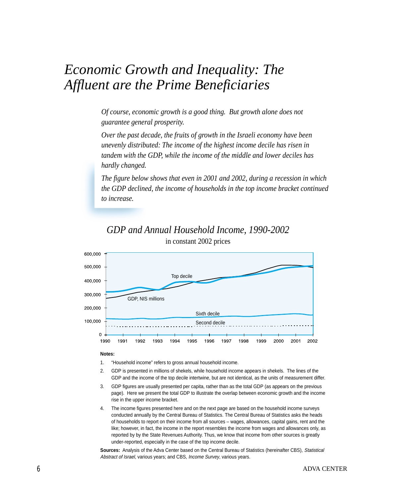### *Economic Growth and Inequality: The Affluent are the Prime Beneficiaries*

*Of course, economic growth is a good thing. But growth alone does not guarantee general prosperity.*

*Over the past decade, the fruits of growth in the Israeli economy have been unevenly distributed: The income of the highest income decile has risen in tandem with the GDP, while the income of the middle and lower deciles has hardly changed.*

*The figure below shows that even in 2001 and 2002, during a recession in which the GDP declined, the income of households in the top income bracket continued to increase.*

#### *GDP and Annual Household Income, 1990-2002* in constant 2002 prices



#### **Notes:**

- 1. "Household income" refers to gross annual household income.
- 2. GDP is presented in millions of shekels, while household income appears in shekels. The lines of the GDP and the income of the top decile intertwine, but are not identical, as the units of measurement differ.
- 3. GDP figures are usually presented per capita, rather than as the total GDP (as appears on the previous page). Here we present the total GDP to illustrate the overlap between economic growth and the income rise in the upper income bracket.
- The income figures presented here and on the next page are based on the household income surveys conducted annually by the Central Bureau of Statistics. The Central Bureau of Statistics asks the heads of households to report on their income from all sources – wages, allowances, capital gains, rent and the like; however, in fact, the income in the report resembles the income from wages and allowances only, as reported by by the State Revenues Authority. Thus, we know that income from other sources is greatly under-reported, especially in the case of the top income decile.

**Sources:** Analysis of the Adva Center based on the Central Bureau of Statistics (hereinafter CBS), Statistical Abstract of Israel, various years; and CBS, Income Survey, various years.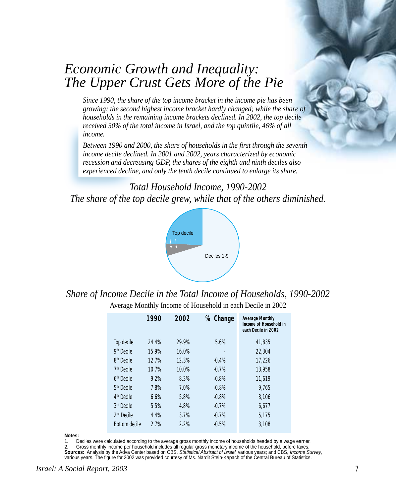### *Economic Growth and Inequality: The Upper Crust Gets More of the Pie*

*Since 1990, the share of the top income bracket in the income pie has been growing; the second highest income bracket hardly changed; while the share of households in the remaining income brackets declined. In 2002, the top decile received 30% of the total income in Israel, and the top quintile, 46% of all income.*

*Between 1990 and 2000, the share of households in the first through the seventh income decile declined. In 2001 and 2002, years characterized by economic recession and decreasing GDP, the shares of the eighth and ninth deciles also experienced decline, and only the tenth decile continued to enlarge its share.*

*Total Household Income, 1990-2002 The share of the top decile grew, while that of the others diminished.*



*Share of Income Decile in the Total Income of Households, 1990-2002*

Average Monthly Income of Household in each Decile in 2002

|                        | 1990  | 2002  | % Change | <b>Average Monthly</b><br>Income of Household in<br>each Decile in 2002 |
|------------------------|-------|-------|----------|-------------------------------------------------------------------------|
| Top decile             | 24.4% | 29.9% | 5.6%     | 41,835                                                                  |
| 9 <sup>th</sup> Decile | 15.9% | 16.0% |          | 22,304                                                                  |
| 8 <sup>th</sup> Decile | 12.7% | 12.3% | $-0.4%$  | 17,226                                                                  |
| 7 <sup>th</sup> Decile | 10.7% | 10.0% | $-0.7%$  | 13,958                                                                  |
| 6 <sup>th</sup> Decile | 9.2%  | 8.3%  | $-0.8%$  | 11,619                                                                  |
| 5 <sup>th</sup> Decile | 7.8%  | 7.0%  | $-0.8%$  | 9,765                                                                   |
| 4 <sup>th</sup> Decile | 6.6%  | 5.8%  | $-0.8%$  | 8,106                                                                   |
| 3rd Decile             | 5.5%  | 4.8%  | $-0.7%$  | 6,677                                                                   |
| $2nd$ Decile           | 4.4%  | 3.7%  | $-0.7%$  | 5.175                                                                   |
| <b>Bottom decile</b>   | 2.7%  | 2.2%  | $-0.5%$  | 3,108                                                                   |

**Notes:**

1. Deciles were calculated according to the average gross monthly income of households headed by a wage earner. 2. Gross monthly income per household includes all regular gross monetary income of the household, before taxes. **Sources:** Analysis by the Adva Center based on CBS, Statistical Abstract of Israel, various years; and CBS, Income Survey, various years. The figure for 2002 was provided courtesy of Ms. Nardit Stein-Kapach of the Central Bureau of Statistics.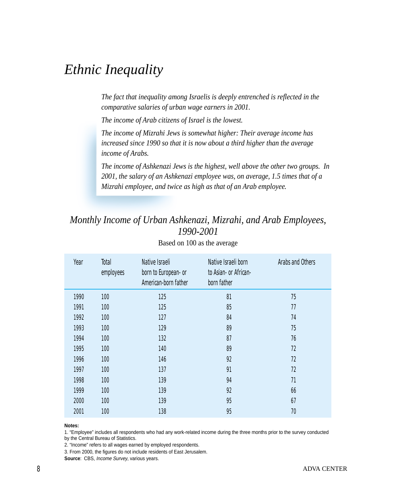### *Ethnic Inequality*

*The fact that inequality among Israelis is deeply entrenched is reflected in the comparative salaries of urban wage earners in 2001.*

*The income of Arab citizens of Israel is the lowest.*

*The income of Mizrahi Jews is somewhat higher: Their average income has increased since 1990 so that it is now about a third higher than the average income of Arabs.*

*The income of Ashkenazi Jews is the highest, well above the other two groups. In 2001, the salary of an Ashkenazi employee was, on average, 1.5 times that of a Mizrahi employee, and twice as high as that of an Arab employee.*

### *Monthly Income of Urban Ashkenazi, Mizrahi, and Arab Employees, 1990-2001*

| Year | Total<br>employees | Native Israeli<br>born to European- or<br>American-born father | Native Israeli born<br>to Asian or African-<br>born father | Arabs and Others |
|------|--------------------|----------------------------------------------------------------|------------------------------------------------------------|------------------|
| 1990 | 100                | 125                                                            | 81                                                         | 75               |
| 1991 | 100                | 125                                                            | 85                                                         | 77               |
| 1992 | 100                | 127                                                            | 84                                                         | 74               |
| 1993 | 100                | 129                                                            | 89                                                         | 75               |
| 1994 | 100                | 132                                                            | 87                                                         | 76               |
| 1995 | 100                | 140                                                            | 89                                                         | 72               |
| 1996 | 100                | 146                                                            | 92                                                         | 72               |
| 1997 | 100                | 137                                                            | 91                                                         | 72               |
| 1998 | 100                | 139                                                            | 94                                                         | 71               |
| 1999 | 100                | 139                                                            | 92                                                         | 66               |
| 2000 | 100                | 139                                                            | 95                                                         | 67               |
| 2001 | 100                | 138                                                            | 95                                                         | 70               |

Based on 100 as the average

**Notes:**

1. "Employee" includes all respondents who had any work-related income during the three months prior to the survey conducted

by the Central Bureau of Statistics.

2. "Income" refers to all wages earned by employed respondents.

3. From 2000, the figures do not include residents of East Jerusalem.

**Source**: CBS, Income Survey, various years.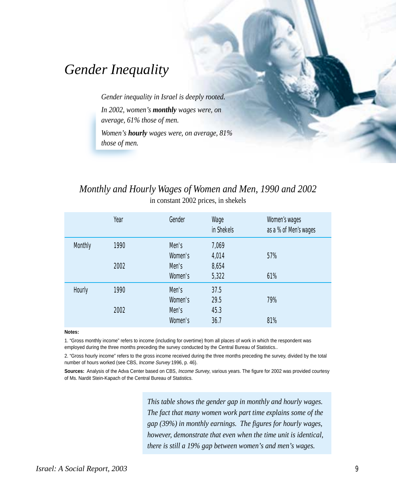### *Gender Inequality*

*Gender inequality in Israel is deeply rooted. In 2002, women's monthly wages were, on average, 61% those of men.*

*Women's hourly wages were, on average, 81% those of men.*

### *Monthly and Hourly Wages of Women and Men, 1990 and 2002* in constant 2002 prices, in shekels

|                | Year | Gender  | Wage<br>in Shekels | Women's wages<br>as a % of Men's wages |
|----------------|------|---------|--------------------|----------------------------------------|
| <b>Monthly</b> | 1990 | Men's   | 7,069              |                                        |
|                |      | Women's | 4,014              | 57%                                    |
|                | 2002 | Men's   | 8,654              |                                        |
|                |      | Women's | 5,322              | 61%                                    |
| Hourly         | 1990 | Men's   | 37.5               |                                        |
|                |      | Women's | 29.5               | 79%                                    |
|                | 2002 | Men's   | 45.3               |                                        |
|                |      | Women's | 36.7               | 81%                                    |

#### **Notes:**

1. "Gross monthly income" refers to income (including for overtime) from all places of work in which the respondent was employed during the three months preceding the survey conducted by the Central Bureau of Statistics..

2. "Gross hourly income" refers to the gross income received during the three months preceding the survey, divided by the total number of hours worked (see CBS, Income Survey 1996, p. 46).

**Sources:** Analysis of the Adva Center based on CBS, Income Survey, various years. The figure for 2002 was provided courtesy of Ms. Nardit Stein-Kapach of the Central Bureau of Statistics.

> *This table shows the gender gap in monthly and hourly wages. The fact that many women work part time explains some of the gap (39%) in monthly earnings. The figures for hourly wages, however, demonstrate that even when the time unit is identical, there is still a 19% gap between women's and men's wages.*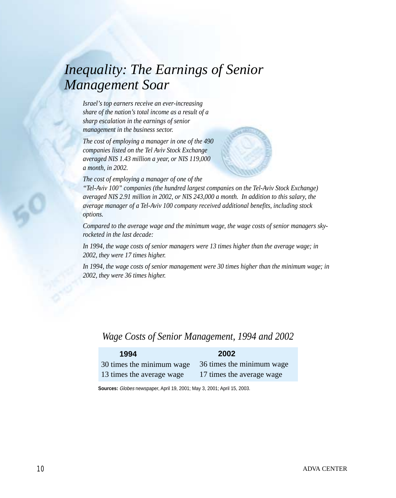# *Inequality: The Earnings of Senior Management Soar*

*Israel's top earners receive an ever-increasing share of the nation's total income as a result of a sharp escalation in the earnings of senior management in the business sector.*

*The cost of employing a manager in one of the 490 companies listed on the Tel Aviv Stock Exchange averaged NIS 1.43 million a year, or NIS 119,000 a month, in 2002.*



*The cost of employing a manager of one of the*

*"Tel-Aviv 100" companies (the hundred largest companies on the Tel-Aviv Stock Exchange) averaged NIS 2.91 million in 2002, or NIS 243,000 a month. In addition to this salary, the average manager of a Tel-Aviv 100 company received additional benefits, including stock options.*

*Compared to the average wage and the minimum wage, the wage costs of senior managers skyrocketed in the last decade:*

*In 1994, the wage costs of senior managers were 13 times higher than the average wage; in 2002, they were 17 times higher.*

*In 1994, the wage costs of senior management were 30 times higher than the minimum wage; in 2002, they were 36 times higher.*

#### *Wage Costs of Senior Management, 1994 and 2002*

| 1994                      | 2002                      |
|---------------------------|---------------------------|
| 30 times the minimum wage | 36 times the minimum wage |
| 13 times the average wage | 17 times the average wage |

**Sources:** Globes newspaper, April 19, 2001; May 3, 2001; April 15, 2003.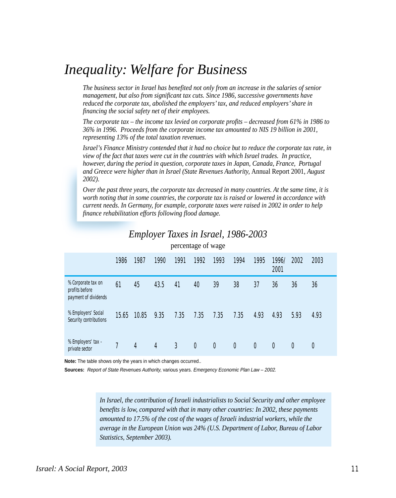### *Inequality: Welfare for Business*

*The business sector in Israel has benefited not only from an increase in the salaries of senior management, but also from significant tax cuts. Since 1986, successive governments have reduced the corporate tax, abolished the employers' tax, and reduced employers' share in financing the social safety net of their employees.*

*The corporate tax – the income tax levied on corporate profits – decreased from 61% in 1986 to 36% in 1996. Proceeds from the corporate income tax amounted to NIS 19 billion in 2001, representing 13% of the total taxation revenues.*

*Israel's Finance Ministry contended that it had no choice but to reduce the corporate tax rate, in view of the fact that taxes were cut in the countries with which Israel trades. In practice, however, during the period in question, corporate taxes in Japan, Canada, France, Portugal and Greece were higher than in Israel (State Revenues Authority,* Annual Report 2001, *August 2002)*.

*Over the past three years, the corporate tax decreased in many countries. At the same time, it is worth noting that in some countries, the corporate tax is raised or lowered in accordance with current needs. In Germany, for example, corporate taxes were raised in 2002 in order to help finance rehabilitation efforts following flood damage.*

|                                                              |       |       |      | $P^{\text{max}}$ |                  |          |                  |              |               |      |                  |
|--------------------------------------------------------------|-------|-------|------|------------------|------------------|----------|------------------|--------------|---------------|------|------------------|
|                                                              | 1986  | 1987  | 1990 | 1991             | 1992             | 1993     | 1994             | 1995         | 1996/<br>2001 | 2002 | 2003             |
| % Corporate tax on<br>profits before<br>payment of dividends | 61    | 45    | 43.5 | 41               | 40               | 39       | 38               | 37           | 36            | 36   | 36               |
| % Employers' Social<br>Security contributions                | 15.65 | 10.85 | 9.35 | 7.35             | 7.35             | 7.35     | 7.35             | 4.93         | 4.93          | 5.93 | 4.93             |
| % Employers' tax -<br>private sector                         | 7     | 4     | 4    | $\mathfrak{Z}$   | $\boldsymbol{0}$ | $\bf{0}$ | $\boldsymbol{0}$ | $\mathbf{0}$ | $\mathbf{0}$  | 0    | $\boldsymbol{0}$ |

### *Employer Taxes in Israel, 1986-2003*

percentage of wage

**Note:** The table shows only the years in which changes occurred..

**Sources:** Report of State Revenues Authority, various years. Emergency Economic Plan Law – 2002.

*In Israel, the contribution of Israeli industrialists to Social Security and other employee benefits is low, compared with that in many other countries: In 2002, these payments amounted to 17.5% of the cost of the wages of Israeli industrial workers, while the average in the European Union was 24% (U.S. Department of Labor, Bureau of Labor Statistics, September 2003).*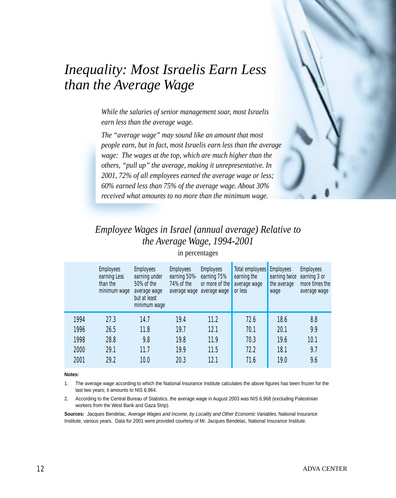

### *Employee Wages in Israel (annual average) Relative to the Average Wage, 1994-2001*

*than the Average Wage*

*earn less than the average wage.*

|      | <b>Employees</b><br>earning Less<br>than the<br>minimum wage | <b>Employees</b><br>earning under<br>50% of the<br>average wage<br>but at least<br>minimum wage | <b>Employees</b><br>earning 50%-<br>74% of the<br>average wage | <b>Employees</b><br>earning 75%<br>or more of the<br>average wage | Total employees<br>earning the<br>average wage<br>or less | <b>Employees</b><br>earning twice<br>the average<br>wage | <b>Employees</b><br>earning 3 or<br>more times the<br>average wage |
|------|--------------------------------------------------------------|-------------------------------------------------------------------------------------------------|----------------------------------------------------------------|-------------------------------------------------------------------|-----------------------------------------------------------|----------------------------------------------------------|--------------------------------------------------------------------|
| 1994 | 27.3                                                         | 14.7                                                                                            | 19.4                                                           | 11.2                                                              | 72.6                                                      | 18.6                                                     | 8.8                                                                |
| 1996 | 26.5                                                         | 11.8                                                                                            | 19.7                                                           | 12.1                                                              | 70.1                                                      | 20.1                                                     | 9.9                                                                |
| 1998 | 28.8                                                         | 9.8                                                                                             | 19.8                                                           | 11.9                                                              | 70.3                                                      | 19.6                                                     | 10.1                                                               |
| 2000 | 29.1                                                         | 11.7                                                                                            | 19.9                                                           | 11.5                                                              | 72.2                                                      | 18.1                                                     | 9.7                                                                |
| 2001 | 29.2                                                         | 10.0                                                                                            | 20.3                                                           | 12.1                                                              | 71.6                                                      | 19.0                                                     | 9.6                                                                |

in percentages

#### **Notes:**

- 1. The average wage according to which the National Insurance Institute calculates the above figures has been frozen for the last two years; it amounts to NIS 6,964.
- 2. According to the Central Bureau of Statistics, the average wage in August 2003 was NIS 6,968 (excluding Palestinian workers from the West Bank and Gaza Strip).

**Sources:** Jacques Bendelac, Average Wages and Income, by Locality and Other Economic Variables, National Insurance Institute, various years. Data for 2001 were provided courtesy of Mr. Jacques Bendelac, National Insurance Institute.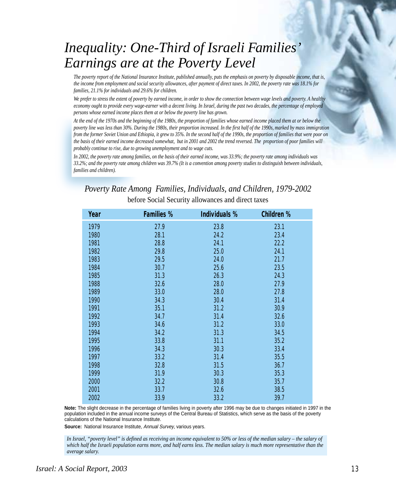# *Inequality: One-Third of Israeli Families' Earnings are at the Poverty Level*

*The poverty report of the National Insurance Institute, published annually, puts the emphasis on poverty by disposable income, that is, the income from employment and social security allowances, after payment of direct taxes. In 2002, the poverty rate was 18.1% for families, 21.1% for individuals and 29.6% for children.*

*We prefer to stress the extent of poverty by earned income, in order to show the connection between wage levels and poverty. A healthy economy ought to provide every wage-earner with a decent living. In Israel, during the past two decades, the percentage of employed persons whose earned income places them at or below the poverty line has grown.*

*At the end of the 1970s and the beginning of the 1980s, the proportion of families whose earned income placed them at or below the poverty line was less than 30%. During the 1980s, their proportion increased. In the first half of the 1990s, marked by mass immigration from the former Soviet Union and Ethiopia, it grew to 35%. In the second half of the 1990s, the proportion of families that were poor on the basis of their earned income decreased somewhat, but in 2001 and 2002 the trend reversed. The proportion of poor families will probably continue to rise, due to growing unemployment and to wage cuts.*

*In 2002, the poverty rate among families, on the basis of their earned income, was 33.9%; the poverty rate among individuals was 33.2%; and the poverty rate among children was 39.7% (It is a convention among poverty studies to distinguish between individuals, families and children).*

*Poverty Rate Among Families, Individuals, and Children, 1979-2002* before Social Security allowances and direct taxes

| Year | <b>Families %</b> | Individuals % | <b>Children %</b> |
|------|-------------------|---------------|-------------------|
| 1979 | 27.9              | 23.8          | 23.1              |
| 1980 | 28.1              | 24.2          | 23.4              |
| 1981 | 28.8              | 24.1          | 22.2              |
| 1982 | 29.8              | 25.0          | 24.1              |
| 1983 | 29.5              | 24.0          | 21.7              |
| 1984 | 30.7              | 25.6          | 23.5              |
| 1985 | 31.3              | 26.3          | 24.3              |
| 1988 | 32.6              | 28.0          | 27.9              |
| 1989 | 33.0              | 28.0          | 27.8              |
| 1990 | 34.3              | 30.4          | 31.4              |
| 1991 | 35.1              | 31.2          | 30.9              |
| 1992 | 34.7              | 31.4          | 32.6              |
| 1993 | 34.6              | 31.2          | 33.0              |
| 1994 | 34.2              | 31.3          | 34.5              |
| 1995 | 33.8              | 31.1          | 35.2              |
| 1996 | 34.3              | 30.3          | 33.4              |
| 1997 | 33.2              | 31.4          | 35.5              |
| 1998 | 32.8              | 31.5          | 36.7              |
| 1999 | 31.9              | 30.3          | 35.3              |
| 2000 | 32.2              | 30.8          | 35.7              |
| 2001 | 33.7              | 32.6          | 38.5              |
| 2002 | 33.9              | 33.2          | 39.7              |

**Note:** The slight decrease in the percentage of families living in poverty after 1996 may be due to changes initiated in 1997 in the population included in the annual income surveys of the Central Bureau of Statistics, which serve as the basis of the poverty calculations of the National Insurance Institute.

**Source:** National Insurance Institute, Annual Survey, various years.

*In Israel, "poverty level" is defined as receiving an income equivalent to 50% or less of the median salary – the salary of which half the Israeli population earns more, and half earns less. The median salary is much more representative than the average salary.*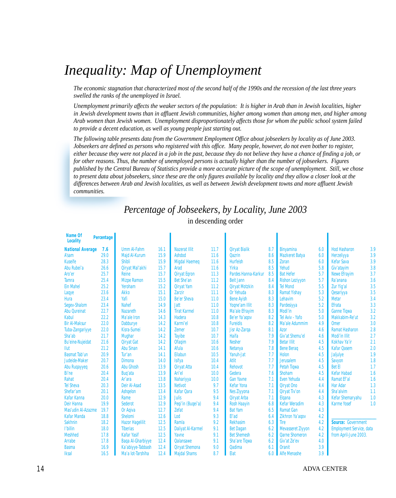# *Inequality: Map of Unemployment*

*The economic stagnation that characterized most of the second half of the 1990s and the recession of the last three years swelled the ranks of the unemployed in Israel.*

*Unemployment primarily affects the weaker sectors of the population: It is higher in Arab than in Jewish localities, higher in Jewish development towns than in affluent Jewish communities, higher among women than among men, and higher among Arab women than Jewish women. Unemployment disproportionately affects those for whom the public school system failed to provide a decent education, as well as young people just starting out.*

*The following table presents data from the Government Employment Office about jobseekers by locality as of June 2003. Jobseekers are defined as persons who registered with this office. Many people, however, do not even bother to register, either because they were not placed in a job in the past, because they do not believe they have a chance of finding a job, or for other reasons. Thus, the number of unemployed persons is actually higher than the number of jobseekers. Figures published by the Central Bureau of Statistics provide a more accurate picture of the scope of unemployment. Still, we chose to present data about jobseekers, since these are the only figures available by locality and they allow a closer look at the differences between Arab and Jewish localities, as well as between Jewish development towns and more affluent Jewish communities.*

#### *Percentage of Jobseekers, by Locality, June 2003* in descending order

| Name Of<br><b>Locality</b> | Percentage |                          |      |                          |      |                       |     |                          |     |                                 |     |
|----------------------------|------------|--------------------------|------|--------------------------|------|-----------------------|-----|--------------------------|-----|---------------------------------|-----|
| <b>National Average</b>    | 7.6        | <b>Umm Al-Fahm</b>       | 16.1 | <b>Nazerat Illit</b>     | 11.7 | <b>Qiryat Bialik</b>  | 8.7 | <b>Binyamina</b>         | 6.0 | <b>Hod Hasharon</b>             | 3.9 |
| <b>A'sam</b>               | 29.0       | <b>Majd Al-Kurum</b>     | 15.9 | <b>Ashdod</b>            | 11.6 | <b>Oazrin</b>         | 8.6 | <b>Mazkeret Batya</b>    | 6.0 | Herzeliyya                      | 3.9 |
| <b>Kuseife</b>             | 28.3       | <b>Shibli</b>            | 15.9 | <b>Migdal Haemeg</b>     | 11.6 | <b>Hurfeish</b>       | 8.5 | <b>Zoran</b>             | 6.0 | <b>Kefar Sava</b>               | 3.9 |
| Abu Rubei'a                | 26.6       | Qiryat Mal'akhi          | 15.7 | Arad                     | 11.6 | Yirka                 | 8.5 | Yehud                    | 5.8 | Giv'atayim                      | 3.8 |
| Aro'er                     | 25.7       | Reine                    | 15.7 | <b>Qiryat Egron</b>      | 11.3 | Pardes Hanna-Karkur   | 8.5 | <b>Bat Hefer</b>         | 5.7 | <b>Newe Efrayim</b>             | 3.7 |
| <b>Tamra</b>               | 25.4       | <b>Mizpe Ramon</b>       | 15.5 | Bet She'an               | 11.2 | <b>Beit Jann</b>      | 8.4 | <b>Rishon Leziyyon</b>   | 5.7 | Ra'anana                        | 3.6 |
| <b>Ein Mahel</b>           | 25.2       | Yeroham                  | 15.2 | <b>Qiryat Yam</b>        | 11.2 | <b>Qiryat Motzkin</b> | 8.4 | <b>Tel Mond</b>          | 5.5 | Zur Yig'al                      | 3.5 |
| Laqye                      | 23.6       | <b>Akko</b>              | 15.1 | <b>Zarzir</b>            | 11.1 | Or Yehuda             | 8.3 | <b>Ramat Yishay</b>      | 5.3 | <b>Qesariyya</b>                | 3.5 |
| <b>Hura</b>                | 23.4       | Yafi                     | 15.0 | Be'er Sheva              | 11.0 | <b>Bene Ayish</b>     | 8.3 | Lehavim                  | 5.2 | <b>Metar</b>                    | 3.4 |
| Segev-Shalom               | 23.4       | <b>Nahef</b>             | 14.9 | <b>Jatt</b>              | 11.0 | Yogne'am Illit        | 8.3 | Pardesiyya               | 5.2 | <b>Efrata</b>                   | 3.3 |
| <b>Abu Qureinat</b>        | 22.7       | <b>Nazareth</b>          | 14.6 | <b>Tirat Karmel</b>      | 11.0 | Ma'ale Efrayim        | 8.3 | Modi'in                  | 5.0 | <b>Ganne Tiqwa</b>              | 3.2 |
| Kabul                      | 22.2       | Ma'ale Iron              | 14.3 | <b>Hadera</b>            | 10.8 | Be'er Ya'agov         | 8.2 | Tel Aviv - Yafo          | 5.0 | Makkabim-Re'ut                  | 3.2 |
| <b>Bir Al-Maksur</b>       | 22.0       | Dabburye                 | 14.2 | Karmi'el                 | 10.8 | <b>Fureidis</b>       | 8.2 | Ma'ale Adummim           | 4.9 | <b>Omer</b>                     | 3.0 |
| Tuba-Zangariyye            | 22.0       | <b>Kisra-Sumei</b>       | 14.2 | <b>Zemer</b>             | 10.7 | Jisr Az-Zarga         | 8.1 | <b>Azor</b>              | 4.6 | <b>Ramat Hasharon</b>           | 2.8 |
| Sha'ab                     | 21.7       | <b>Mughar</b>            | 14.2 | <b>Tayibe</b>            | 10.7 | Haifa                 | 7.9 | Giv'at Shemu'el          | 4.6 | <b>Modi'in Illit</b>            | 2.7 |
| <b>Bu'eine-Nujeidat</b>    | 21.6       | <b>Qiryat Gat</b>        | 14.2 | <b>Ofagim</b>            | 10.6 | <b>Nesher</b>         | 7.9 | <b>Betar Illit</b>       | 4.5 | <b>Kokhav Ya'ir</b>             | 2.1 |
| <b>Ilut</b>                | 21.2       | <b>Abu Sinan</b>         | 14.1 | Afula                    | 10.6 | <b>Netanya</b>        | 7.8 | <b>Bene Berag</b>        | 4.5 | <b>Kafar Qasem</b>              | 2.0 |
| <b>Basmat Tab'un</b>       | 20.9       | Tur'an                   | 14.1 | Eilabun                  | 10.5 | Yanuh-Jat             | 7.7 | <b>Holon</b>             | 4.5 | <b>Jaljulye</b>                 | 1.9 |
| Judeide-Maker              | 20.7       | <b>Dimona</b>            | 14.0 | <b>Isifya</b>            | 10.4 | <b>Atlit</b>          | 7.7 | <b>Jerusalem</b>         | 4.5 | Savyon                          | 1.8 |
| <b>Abu Ruqayyeq</b>        | 20.6       | <b>Abu Ghosh</b>         | 13.9 | <b>Qiryat Atta</b>       | 10.4 | <b>Rehovot</b>        | 7.7 | <b>Petah Tigwa</b>       | 4.5 | <b>Bet El</b>                   | 1.7 |
| Bi'ne                      | 20.4       | <b>Bug'ata</b>           | 13.9 | Ari'el                   | 10.0 | Gedera                | 7.6 | <b>Shoham</b>            | 4.5 | <b>Kefar Habad</b>              | 1.6 |
| Rahat                      | 20.4       | Ar'ara                   | 13.8 | Nahariyya                | 10.0 | <b>Gan Yavne</b>      | 7.1 | Even Yehuda              | 4.4 | Ramat Ef'al                     | 1.6 |
| <b>Tel Sheva</b>           | 20.3       | <b>Deir Al-Asad</b>      | 13.5 | <b>Netivot</b>           | 9.7  | <b>Kefar Yona</b>     | 7.1 | <b>Qiryat Ono</b>        | 4.4 | <b>Har Adar</b>                 | 1.3 |
| Shefar'am                  | 20.1       | <b>Ashqelon</b>          | 13.4 | <b>Kafar Qara</b>        | 9.5  | <b>Nes Ziyyona</b>    | 7.1 | <b>Qiryat Tiv'on</b>     | 4.4 | Sha'alvim                       | 1.1 |
| <b>Kafar Kanna</b>         | 20.0       | Rame                     | 12.9 | Julis                    | 9.4  | <b>Qiryat Arba</b>    | 7.1 | <b>Elgana</b>            | 4.3 | Kefar Shemaryahu                | 1.0 |
| <b>Deir Hanna</b>          | 19.9       | <b>Sederot</b>           | 12.9 | Peqi'in (Buqei'a)        | 9.4  | <b>Rosh Haayin</b>    | 6.8 | <b>Kefar Weradim</b>     | 4.3 | <b>Karme Yosef</b>              | 1.0 |
| Mas'udin Al-Azazme         | 19.7       | Or Agiva                 | 12.7 | <b>Zefat</b>             | 9.4  | <b>Bat Yam</b>        | 6.5 | <b>Ramat Gan</b>         | 4.3 |                                 |     |
| <b>Kafar Manda</b>         | 18.8       | <b>Shelomi</b>           | 12.6 | Lod                      | 9.3  | El'ad                 | 6.4 | Zikhron Ya'agov          | 4.2 |                                 |     |
| <b>Sakhnin</b>             | 18.2       | <b>Hazor Hagelilit</b>   | 12.5 | Ramla                    | 9.2  | <b>Rekhasim</b>       | 6.3 | <b>Tire</b>              | 4.2 | <b>Source: Government</b>       |     |
| l'billin                   | 18.0       | <b>Tiberias</b>          | 12.5 | <b>Daliyat Al-Karmel</b> | 9.1  | <b>Bet Dagan</b>      | 6.2 | <b>Mevasseret Ziyyon</b> | 4.2 | <b>Employment Service, data</b> |     |
| <b>Meshhed</b>             | 17.8       | <b>Kafar Yasif</b>       | 12.5 | Yavne                    | 9.1  | <b>Bet Shemesh</b>    | 6.2 | <b>Qarne Shomeron</b>    | 4.2 | from April-June 2003.           |     |
| <b>Arrabe</b>              | 17.8       | <b>Baqa Al-Gharbiyye</b> | 12.4 | <b>Oalansawe</b>         | 9.1  | Sha'are Tiqwa         | 6.2 | Giv'at Ze'ev             | 4.0 |                                 |     |
| <b>Basma</b>               | 16.9       | Ka'abiyye-Tabbash        | 12.4 | <b>Qiryat Shemona</b>    | 9.0  | <b>Qadima</b>         | 6.1 | <b>Oranit</b>            | 3.9 |                                 |     |
| <b>Iksal</b>               | 16.5       | Ma'a lot-Tarshiha        | 12.4 | <b>Majdal Shams</b>      | 8.7  | Elat                  | 6.0 | <b>Alfe Menashe</b>      | 3.9 |                                 |     |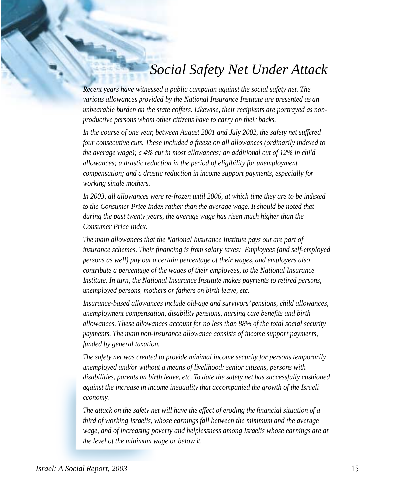### *Social Safety Net Under Attack*

*Recent years have witnessed a public campaign against the social safety net. The various allowances provided by the National Insurance Institute are presented as an unbearable burden on the state coffers. Likewise, their recipients are portrayed as nonproductive persons whom other citizens have to carry on their backs.*

*In the course of one year, between August 2001 and July 2002, the safety net suffered four consecutive cuts. These included a freeze on all allowances (ordinarily indexed to the average wage); a 4% cut in most allowances; an additional cut of 12% in child allowances; a drastic reduction in the period of eligibility for unemployment compensation; and a drastic reduction in income support payments, especially for working single mothers.*

*In 2003, all allowances were re-frozen until 2006, at which time they are to be indexed to the Consumer Price Index rather than the average wage. It should be noted that during the past twenty years, the average wage has risen much higher than the Consumer Price Index.*

*The main allowances that the National Insurance Institute pays out are part of insurance schemes. Their financing is from salary taxes: Employees (and self-employed persons as well) pay out a certain percentage of their wages, and employers also contribute a percentage of the wages of their employees, to the National Insurance Institute. In turn, the National Insurance Institute makes payments to retired persons, unemployed persons, mothers or fathers on birth leave, etc.*

*Insurance-based allowances include old-age and survivors' pensions, child allowances, unemployment compensation, disability pensions, nursing care benefits and birth allowances. These allowances account for no less than 88% of the total social security payments. The main non-insurance allowance consists of income support payments, funded by general taxation.*

*The safety net was created to provide minimal income security for persons temporarily unemployed and/or without a means of livelihood: senior citizens, persons with disabilities, parents on birth leave, etc. To date the safety net has successfully cushioned against the increase in income inequality that accompanied the growth of the Israeli economy.*

*The attack on the safety net will have the effect of eroding the financial situation of a third of working Israelis, whose earnings fall between the minimum and the average wage, and of increasing poverty and helplessness among Israelis whose earnings are at the level of the minimum wage or below it.*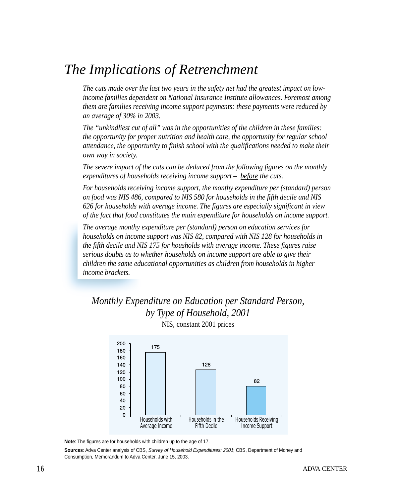### *The Implications of Retrenchment*

*The cuts made over the last two years in the safety net had the greatest impact on lowincome families dependent on National Insurance Institute allowances. Foremost among them are families receiving income support payments: these payments were reduced by an average of 30% in 2003.*

*The "unkindliest cut of all" was in the opportunities of the children in these families: the opportunity for proper nutrition and health care, the opportunity for regular school attendance, the opportunity to finish school with the qualifications needed to make their own way in society.*

*The severe impact of the cuts can be deduced from the following figures on the monthly expenditures of households receiving income support – before the cuts.*

*For households receiving income support, the monthy expenditure per (standard) person on food was NIS 486, compared to NIS 580 for households in the fifth decile and NIS 626 for households with average income. The figures are especially significant in view of the fact that food constitutes the main expenditure for households on income support.*

*The average monthy expenditure per (standard) person on education services for households on income support was NIS 82, compared with NIS 128 for households in the fifth decile and NIS 175 for housholds with average income. These figures raise serious doubts as to whether households on income support are able to give their children the same educational opportunities as children from households in higher income brackets.*

#### *Monthly Expenditure on Education per Standard Person, by Type of Household, 2001* NIS, constant 2001 prices



**Note**: The figures are for households with children up to the age of 17.

**Sources**: Adva Center analysis of CBS, Survey of Household Expenditures: 2001; CBS, Department of Money and Consumption, Memorandum to Adva Center, June 15, 2003.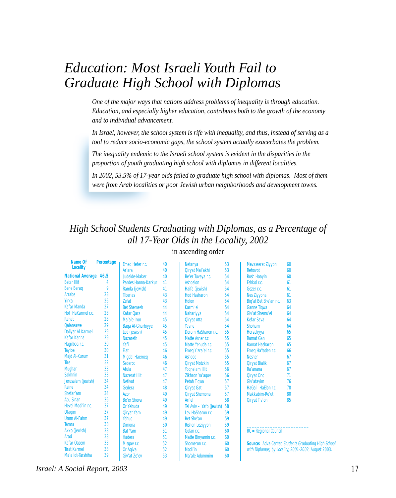### *Education: Most Israeli Youth Fail to Graduate High School with Diplomas*

*One of the major ways that nations address problems of inequality is through education. Education, and especially higher education, contributes both to the growth of the economy and to individual advancement.*

*In Israel, however, the school system is rife with inequality, and thus, instead of serving as a tool to reduce socio-economic gaps, the school system actually exacerbates the problem.*

*The inequality endemic to the Israeli school system is evident in the disparities in the proportion of youth graduating high school with diplomas in different localities.*

*In 2002, 53.5% of 17-year olds failed to graduate high school with diplomas. Most of them were from Arab localities or poor Jewish urban neighborhoods and development towns.*

### *High School Students Graduating with Diplomas, as a Percentage of all 17-Year Olds in the Locality, 2002*

| Name Of                      | <b>Percentage</b> | Emeg Hefer r.c.          | 40 | <b>Netanya</b>           | 53 | <b>Mevasseret Ziyyon</b> | 60 |
|------------------------------|-------------------|--------------------------|----|--------------------------|----|--------------------------|----|
| <b>Locality</b>              |                   | Ar'ara                   | 40 | Qiryat Mal'akhi          | 53 | <b>Rehovot</b>           | 60 |
| <b>National Average 46.5</b> |                   | Judeide-Maker            | 40 | Be'er Tuveya r.c.        | 54 | <b>Rosh Haayin</b>       | 60 |
| <b>Betar Illit</b>           | 4                 | Pardes Hanna-Karkur      | 41 | <b>Ashgelon</b>          | 54 | Eshkol r.c.              | 61 |
| <b>Bene Berag</b>            | 9                 | Ramla (jewish)           | 41 | Haifa (jewish)           | 54 | Gezer r.c.               | 61 |
| <b>Arrabe</b>                | 23                | <b>Tiberias</b>          | 43 | <b>Hod Hasharon</b>      | 54 | <b>Nes Ziyyona</b>       | 61 |
| <b>Yirka</b>                 | 26                | <b>Zefat</b>             | 43 | <b>Holon</b>             | 54 | Big'at Bet She'an r.c.   | 63 |
| <b>Kafar Manda</b>           | 27                | <b>Bet Shemesh</b>       | 44 | Karmi'el                 | 54 | <b>Ganne Tigwa</b>       | 64 |
| Hof HaKarmel r.c.            | 28                | Kafar Oara               | 44 | Nahariyya                | 54 | Giv'at Shemu'el          | 64 |
| Rahat                        | 28                | Ma'ale Iron              | 45 | <b>Qiryat Atta</b>       | 54 | <b>Kefar Sava</b>        | 64 |
| <b>Oalansawe</b>             | 29                | <b>Baga Al-Gharbiyye</b> | 45 | Yavne                    | 54 | <b>Shoham</b>            | 64 |
| <b>Daliyat Al-Karmel</b>     | 29                | Lod (jewish)             | 45 | Derom HaSharon r.c.      | 55 | Herzeliyya               | 65 |
| Kafar Kanna                  | 29                | <b>Nazareth</b>          | 45 | Matte Asher r.c.         | 55 | <b>Ramat Gan</b>         | 65 |
| Hagilboa r.c.                | 30                | Yafi                     | 45 | Matte Yehuda r.c.        | 55 | <b>Ramat Hasharon</b>    | 65 |
| <b>Tayibe</b>                | 30                | Elat                     | 46 | Emeq Yizra'el r.c.       | 55 | Emeg HaYaden r.c.        | 66 |
| Majd Al-Kurum                | 31                | <b>Migdal Haemeg</b>     | 46 | <b>Ashdod</b>            | 55 | <b>Nesher</b>            | 67 |
| <b>Tire</b>                  | 32                | <b>Sederot</b>           | 46 | <b>Qiryat Motzkin</b>    | 55 | <b>Qiryat Bialik</b>     | 67 |
| <b>Mughar</b>                | 33                | Afula                    | 47 | Yogne'am Illit           | 56 | Ra'anana                 | 67 |
| <b>Sakhnin</b>               | 33                | <b>Nazerat Illit</b>     | 47 | Zikhron Ya'aqov          | 56 | <b>Qiryat Ono</b>        | 71 |
| Jerusalem (jewish)           | 34                | <b>Netivot</b>           | 47 | Petah Tigwa              | 57 | Giv'atayim               | 76 |
| <b>Reine</b>                 | 34                | Gedera                   | 48 | <b>Qiryat Gat</b>        | 57 | HaGalil HaElon r.c.      | 78 |
| Shefar'am                    | 34                | Azor                     | 49 | <b>Qiryat Shemona</b>    | 57 | Makkabim-Re'ut           | 80 |
| <b>Abu Sinan</b>             | 36                | <b>Be'er Sheva</b>       | 49 | Ari'el                   | 58 | <b>Qiryat Tiv'on</b>     | 85 |
| Hevel Modi'in r.c.           | 37                | Or Yehuda                | 49 | Tel Aviv - Yafo (jewish) | 58 |                          |    |
| <b>Ofagim</b>                | 37                | <b>Qiryat Yam</b>        | 49 | Lev HaSharon r.c.        | 59 |                          |    |
| <b>Umm Al-Fahm</b>           | 37                | Yehud                    | 49 | <b>Bet She'an</b>        | 59 |                          |    |

Dimona 50 Bat Yam 51<br>
Hadera 51 Hadera 51<br>Misgay r.c. 52

Or Aqiva 52<br>Giv'at Ze'ev 53

Misgay r.c.

Giv'at Ze'ev

in ascending order

Rishon Leziyyon 59 Golan r.c. 60<br>Matte Binvamin r.c. 60 Matte Binyamin r.c. 60<br>Shomeron r.c. 60 Shomeron r.c.

Modi'in 60<br>Ma'ale Adummim 60 Ma'ale Adummim

| <b>Rehovot</b>             | 60 |
|----------------------------|----|
| <b>Rosh Haayin</b>         | 60 |
| Eshkol r.c.                | 61 |
| Gezer r.c.                 | 61 |
| <b>Nes Ziyyona</b>         | 61 |
| Big'at Bet She'an r.c.     | 63 |
| <b>Ganne Tigwa</b>         | 64 |
| Giv'at Shemu'el            | 64 |
| <b>Kefar Sava</b>          | 64 |
| <b>Shoham</b>              | 64 |
| <b>Herzeliyya</b>          | 65 |
| <b>Ramat Gan</b>           | 65 |
| <b>Ramat Hasharon</b>      | 65 |
| Emeg HaYaden r.c.          | 66 |
| <b>Nesher</b>              | 67 |
| <b>Qiryat Bialik</b>       | 67 |
| Ra'anana                   | 67 |
| <b>Qiryat Ono</b>          | 71 |
| Giv'atayim                 | 76 |
| <b>HaGalil HaElon r.c.</b> | 78 |
| Makkabim-Re'ut             | 80 |
| <b>Qiryat Tiv'on</b>       | 85 |
|                            |    |

RC = Regional Council

\_\_\_\_\_\_\_\_\_\_\_\_\_\_\_\_\_\_\_\_\_\_\_\_

Source: Adva Center, Students Graduating High School with Diplomas, by Locality, 2001-2002, August 2003.

*Israel: A Social Report, 2003 17*

Tamra 38<br>Akko (jewish) 38 Akko (jewish)

Arad 38<br>Kafar Qasem 38 Kafar Qasem 38 Tirat Karmel 38<br>Ma'a lot-Tarshiha 39 Ma'a lot-Tarshiha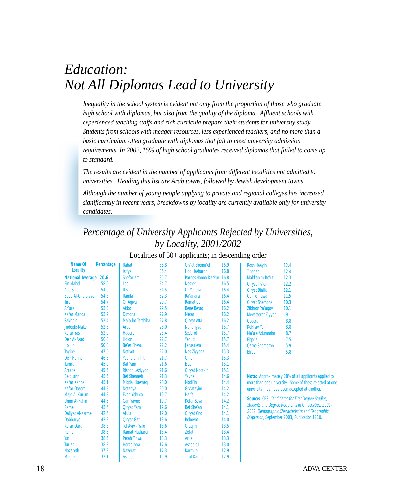# *Education: Not All Diplomas Lead to University*

*Inequality in the school system is evident not only from the proportion of those who graduate high school with diplomas, but also from the quality of the diploma. Affluent schools with experienced teaching staffs and rich curricula prepare their students for university study. Students from schools with meager resources, less experienced teachers, and no more than a basic curriculum often graduate with diplomas that fail to meet university admission requirements. In 2002, 15% of high school graduates received diplomas that failed to come up to standard.*

*The results are evident in the number of applicants from different localities not admitted to universities. Heading this list are Arab towns, followed by Jewish development towns.*

*Although the number of young people applying to private and regional colleges has increased significantly in recent years, breakdowns by locality are currently available only for university candidates.*

### *Percentage of University Applicants Rejected by Universities, by Locality, 2001/2002*

| Name Of                  | Percentage | Rahat                  | 36.8 | Giv'at Shemu'el          | 16.9 | <b>Rosh Haayin</b><br>12.4                                   |
|--------------------------|------------|------------------------|------|--------------------------|------|--------------------------------------------------------------|
| <b>Locality</b>          |            | Isifya                 | 36.4 | <b>Hod Hasharon</b>      | 16.8 | <b>Tiberias</b><br>12.4                                      |
| <b>National Average</b>  | 20.6       | Shefar'am              | 35.7 | Pardes Hanna-Karkur 16.8 |      | Makkabim-Re'ut<br>12.3                                       |
| <b>Ein Mahel</b>         | 58.0       | Lod                    | 34.7 | <b>Nesher</b>            | 16.5 | 12.2<br><b>Qiryat Tiv'on</b>                                 |
| <b>Abu Sinan</b>         | 54.9       | <b>Iksal</b>           | 34.5 | Or Yehuda                | 16.4 | <b>Qiryat Bialik</b><br>12.1                                 |
| <b>Baga Al-Gharbiyye</b> | 54.8       | Ramla                  | 32.3 | Ra'anana                 | 16.4 | <b>Ganne Tigwa</b><br>11.5                                   |
| <b>Tire</b>              | 54.7       | Or Agiva               | 29.7 | <b>Ramat Gan</b>         | 16.4 | 10.3<br><b>Qiryat Shemona</b>                                |
| Ar'ara                   | 53.3       | <b>Akko</b>            | 29.5 | <b>Bene Berag</b>        | 16.2 | Zikhron Ya'agov<br>10.1                                      |
| <b>Kafar Manda</b>       | 53.2       | <b>Dimona</b>          | 27.9 | <b>Metar</b>             | 16.2 | 9.1<br><b>Mevasseret Ziyyon</b>                              |
| <b>Sakhnin</b>           | 52.4       | Ma'a lot-Tarshiha      | 27.8 | <b>Qiryat Atta</b>       | 16.2 | 8.8<br>Gedera                                                |
| Judeide-Maker            | 52.3       | Arad                   | 26.0 | Nahariyya                | 15.7 | Kokhav Ya'ir<br>8.8                                          |
| <b>Kafar Yasif</b>       | 52.0       | <b>Hadera</b>          | 23.4 | <b>Sederot</b>           | 15.7 | 8.7<br>Ma'ale Adummim                                        |
| Deir Al-Asad             | 50.0       | <b>Holon</b>           | 22.7 | Yehud                    | 15.7 | 7.5<br><b>Elgana</b>                                         |
| l'billin                 | 50.0       | <b>Be'er Sheva</b>     | 22.2 | <b>Jerusalem</b>         | 15.4 | 5.9<br><b>Qarne Shomeron</b>                                 |
| <b>Tayibe</b>            | 47.5       | <b>Netivot</b>         | 22.0 | <b>Nes Ziyyona</b>       | 15.3 | <b>Efrat</b><br>5.8                                          |
| Deir Hanna               | 46.8       | Yogne'am Illit         | 21.7 | <b>Omer</b>              | 15.3 |                                                              |
| <b>Tamra</b>             | 45.9       | <b>Bat Yam</b>         | 21.6 | Elat                     | 15.1 |                                                              |
| Arrabe                   | 45.5       | <b>Rishon Leziyyon</b> | 21.6 | <b>Qiryat Motzkin</b>    | 15.1 |                                                              |
| <b>Beit Jann</b>         | 45.5       | <b>Bet Shemesh</b>     | 21.3 | Yavne                    | 14.6 | Note: Approximately 28% of all applicants applied to         |
| Kafar Kanna              | 45.1       | <b>Migdal Haemeg</b>   | 20.0 | Modi'in                  | 14.4 | more than one university. Some of those rejected at one      |
| <b>Kafar Qasem</b>       | 44.8       | <b>Netanya</b>         | 20.0 | Giv'atayim               | 14.2 | university may have been accepted at another.                |
| <b>Majd Al-Kurum</b>     | 44.8       | Even Yehuda            | 19.7 | <b>Haifa</b>             | 14.2 |                                                              |
| <b>Umm Al-Fahm</b>       | 44.5       | <b>Gan Yavne</b>       | 19.7 | <b>Kefar Sava</b>        | 14.2 | <b>Source: CBS, Candidates for First Degree Studies,</b>     |
| Rame                     | 43.6       | <b>Qiryat Yam</b>      | 19.6 | Bet She'an               | 14.1 | <b>Students and Degree Recipients in Universities, 2001-</b> |
| <b>Daliyat Al-Karmel</b> | 42.6       | Afula                  | 19.0 | Qiryat Ono               | 14.1 | 2002: Demographic Characteristics and Geographic             |
| <b>Dabburye</b>          | 42.3       | <b>Qiryat Gat</b>      | 18.6 | <b>Rehovot</b>           | 14.0 | Dispersion, September 2003, Publication 1210.                |
| <b>Kafar Qara</b>        | 38.8       | Tel Aviv - Yafo        | 18.6 | <b>Ofaqim</b>            | 13.5 |                                                              |
| <b>Reine</b>             | 38.5       | <b>Ramat Hasharon</b>  | 18.4 | <b>Zefat</b>             | 13.4 |                                                              |
| Yafi                     | 38.5       | <b>Petah Tigwa</b>     | 18.3 | Ari'el                   | 13.3 |                                                              |
| Tur'an                   | 38.2       | Herzeliyya             | 17.6 | <b>Ashqelon</b>          | 13.0 |                                                              |
| <b>Nazareth</b>          | 37.3       | <b>Nazerat Illit</b>   | 17.3 | Karmi'el                 | 12.9 |                                                              |
| <b>Mughar</b>            | 37.1       | <b>Ashdod</b>          | 16.9 | <b>Tirat Karmel</b>      | 12.9 |                                                              |

#### Localities of 50+ applicants; in descending order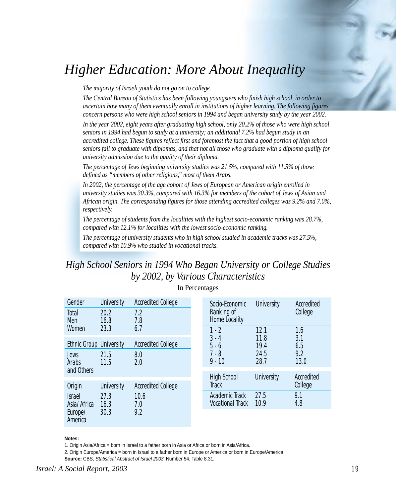# *Higher Education: More About Inequality*

*The majority of Israeli youth do not go on to college.*

*The Central Bureau of Statistics has been following youngsters who finish high school, in order to ascertain how many of them eventually enroll in institutions of higher learning. The following figures concern persons who were high school seniors in 1994 and began university study by the year 2002.*

*In the year 2002, eight years after graduating high school, only 20.2% of those who were high school seniors in 1994 had begun to study at a university; an additional 7.2% had begun study in an accredited college. These figures reflect first and foremost the fact that a good portion of high school seniors fail to graduate with diplomas, and that not all those who graduate with a diploma qualify for university admission due to the quality of their diploma.*

*The percentage of Jews beginning university studies was 21.5%, compared with 11.5% of those defined as "members of other religions," most of them Arabs.*

*In 2002, the percentage of the age cohort of Jews of European or American origin enrolled in university studies was 30.3%, compared with 16.3% for members of the cohort of Jews of Asian and African origin. The corresponding figures for those attending accredited colleges was 9.2% and 7.0%, respectively.*

*The percentage of students from the localities with the highest socio-economic ranking was 28.7%, compared with 12.1% for localities with the lowest socio-economic ranking.*

*The percentage of university students who in high school studied in academic tracks was 27.5%, compared with 10.9% who studied in vocational tracks.*

### *High School Seniors in 1994 Who Began University or College Studies by 2002, by Various Characteristics*

| Gender                                                    | <b>University</b> | <b>Accredited College</b> |  | Socio-Economic                            | <b>University</b> | Accredited            |  |
|-----------------------------------------------------------|-------------------|---------------------------|--|-------------------------------------------|-------------------|-----------------------|--|
| Total<br>Men                                              | 20.2<br>16.8      | 7.2<br>7.8                |  | Ranking of<br>Home Locality               |                   | College               |  |
| Women                                                     | 23.3              | 6.7                       |  | $1 - 2$                                   | 12.1              | 1.6                   |  |
| <b>Ethnic Group University</b>                            |                   | <b>Accredited College</b> |  | $3 - 4$<br>$5 - 6$<br>$7 - 8$<br>$9 - 10$ | 11.8<br>19.4      | 3.1<br>6.5            |  |
| 21.5<br><b>Jews</b><br><b>Arabs</b><br>11.5<br>and Others |                   | 8.0<br>2.0                |  |                                           | 24.5<br>28.7      | 9.2<br>13.0           |  |
|                                                           |                   |                           |  | <b>High School</b>                        | <b>University</b> | Accredited<br>College |  |
| Origin                                                    | <b>University</b> | <b>Accredited College</b> |  | <b>Track</b>                              |                   |                       |  |
| 27.3<br><b>Israel</b><br>Asia/Africa<br>16.3              |                   | 10.6<br>7.0<br>9.2        |  | Academic Track<br><b>Vocational Track</b> | 27.5<br>10.9      | 9.1<br>4.8            |  |
| Europe/<br>America                                        | 30.3              |                           |  |                                           |                   |                       |  |

#### In Percentages

#### **Notes:**

1. Origin Asia/Africa = born in Israel to a father born in Asia or Africa or born in Asia/Africa.

2. Origin Europe/America = born in Israel to a father born in Europe or America or born in Europe/America.

**Source:** CBS, Statistical Abstract of Israel 2003, Number 54, Table 8.31.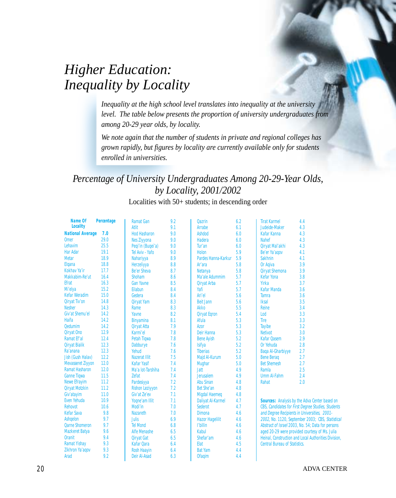# *Higher Education: Inequality by Locality*

*Inequality at the high school level translates into inequality at the university level. The table below presents the proportion of university undergraduates from among 20-29 year olds, by locality.*

*We note again that the number of students in private and regional colleges has grown rapidly, but figures by locality are currently available only for students enrolled in universities.*

### *Percentage of University Undergraduates Among 20-29-Year Olds, by Locality, 2001/2002*

Localities with 50+ students; in descending order

| <b>Name Of</b>           | Percentage | <b>Ramat Gan</b>       | 9.2 | <b>Qazrin</b>                                    | 6.2 | <b>Tirat Karmel</b>                  | 4.4                                                  |
|--------------------------|------------|------------------------|-----|--------------------------------------------------|-----|--------------------------------------|------------------------------------------------------|
| <b>Locality</b>          |            | <b>Atlit</b>           | 9.1 | Arrabe                                           | 6.1 | Judeide-Maker                        | 4.3                                                  |
| <b>National Average</b>  | 7.0        | <b>Hod Hasharon</b>    | 9.0 | <b>Ashdod</b>                                    | 6.0 | <b>Kafar Kanna</b>                   | 4.3                                                  |
| <b>Omer</b>              | 29.0       | <b>Nes Ziyyona</b>     | 9.0 | <b>Hadera</b>                                    | 6.0 | <b>Nahef</b>                         | 4.3                                                  |
| Lehavim                  | 25.5       | Peqi'in (Buqei'a)      | 9.0 | Tur'an                                           | 6.0 | Qiryat Mal'akhi                      | 4.3                                                  |
| <b>Har Adar</b>          | 19.1       | Tel Aviv - Yafo        | 9.0 | <b>Holon</b>                                     | 5.9 | Be'er Ya'aqov                        | 4.1                                                  |
| <b>Metar</b>             | 18.9       | <b>Nahariyya</b>       | 8.9 | Pardes Hanna-Karkur                              | 5.9 | <b>Sakhnin</b>                       | 4.1                                                  |
| Elgana                   | 18.8       | Herzeliyya             | 8.8 | Ar'ara                                           | 5.8 | Or Agiva                             | 3.9                                                  |
| <b>Kokhav Ya'ir</b>      | 17.7       | <b>Be'er Sheva</b>     | 8.7 | <b>Netanya</b>                                   | 5.8 | <b>Qiryat Shemona</b>                | 3.9                                                  |
| Makkabim-Re'ut           | 16.4       | <b>Shoham</b>          | 8.6 | Ma'ale Adummim                                   | 5.7 | <b>Kefar Yona</b>                    | 3.8                                                  |
| <b>Efrat</b>             | 16.3       | <b>Gan Yavne</b>       | 8.5 | <b>Qiryat Arba</b>                               | 5.7 | Yirka                                | 3.7                                                  |
| Mi'elya                  | 15.2       | Eilabun                | 8.4 | Yafi                                             | 5.7 | <b>Kafar Manda</b>                   | 3.6                                                  |
| <b>Kefar Weradim</b>     | 15.0       | Gedera                 | 8.4 | Ari'el                                           | 5.6 | <b>Tamra</b>                         | 3.6                                                  |
| <b>Qiryat Tiv'on</b>     | 14.8       | <b>Qiryat Yam</b>      | 8.3 | <b>Beit Jann</b>                                 | 5.6 | <b>Iksal</b>                         | 3.5                                                  |
| <b>Nesher</b>            | 14.3       | Rame                   | 8.3 | Akko                                             | 5.5 | <b>Reine</b>                         | 3.4                                                  |
| Giv'at Shemu'el          | 14.2       | Yavne                  | 8.2 | <b>Qiryat Egron</b>                              | 5.4 | Lod                                  | 3.3                                                  |
| Haifa                    | 14.2       | <b>Binyamina</b>       | 8.1 | Afula                                            | 5.3 | <b>Tire</b>                          | 3.3                                                  |
| <b>Qedumim</b>           | 14.2       | <b>Qiryat Atta</b>     | 7.9 | <b>Azor</b>                                      | 5.3 | <b>Tayibe</b>                        | 3.2                                                  |
| <b>Qiryat Ono</b>        | 12.9       | Karmi'el               | 7.8 | <b>Deir Hanna</b>                                | 5.3 | <b>Netivot</b>                       | 3.0                                                  |
| Ramat Ef'al              | 12.4       | Petah Tiqwa            | 7.8 | <b>Bene Ayish</b>                                | 5.2 | <b>Kafar Qasem</b>                   | 2.9                                                  |
| <b>Qiryat Bialik</b>     | 12.3       | Dabburye               | 7.6 | <b>Isifya</b>                                    | 5.2 | Or Yehuda                            | 2.8                                                  |
| Ra'anana                 | 12.3       | Yehud                  | 7.6 | <b>Tiberias</b>                                  | 5.2 | <b>Baga Al-Gharbiyye</b>             | 2.7                                                  |
| Jish (Gush Halav)        | 12.2       | <b>Nazerat Illit</b>   | 7.5 | Majd Al-Kurum                                    | 5.0 | <b>Bene Berag</b>                    | 2.7                                                  |
| <b>Mevasseret Ziyyon</b> | 12.0       | <b>Kafar Yasif</b>     | 7.4 | <b>Mughar</b>                                    | 5.0 | <b>Bet Shemesh</b>                   | 2.7                                                  |
| <b>Ramat Hasharon</b>    | 12.0       | Ma'a lot-Tarshiha      | 7.4 | <b>Jatt</b>                                      | 4.9 | Ramla                                | 2.5                                                  |
| <b>Ganne Tigwa</b>       | 11.5       | <b>Zefat</b>           | 7.4 | <b>Jerusalem</b>                                 | 4.9 | <b>Umm Al-Fahm</b>                   | 2.4                                                  |
| <b>Newe Efrayim</b>      | 11.2       | Pardesiyya             | 7.2 | <b>Abu Sinan</b>                                 | 4.8 | Rahat                                | 2.0                                                  |
| <b>Qiryat Motzkin</b>    | 11.2       | <b>Rishon Leziyyon</b> | 7.2 | <b>Bet She'an</b>                                | 4.8 |                                      |                                                      |
| Giv'atayim               | 11.0       | Giv'at Ze'ev           | 7.1 |                                                  | 4.8 |                                      |                                                      |
| Even Yehuda              | 10.9       | Yogne'am Illit         | 7.1 | <b>Migdal Haemeg</b><br><b>Daliyat Al-Karmel</b> | 4.7 |                                      | Sources: Analysis by the Adva Center based on        |
| <b>Rehovot</b>           | 10.6       | Modi'in                | 7.0 | <b>Sederot</b>                                   | 4.7 |                                      | CBS, Candidates for First Degree Studies, Students   |
| <b>Kefar Sava</b>        | 9.8        | <b>Nazareth</b>        | 7.0 | <b>Dimona</b>                                    | 4.6 |                                      | and Degree Recipients in Universities, 2001-         |
| <b>Ashqelon</b>          | 9.7        | <b>Julis</b>           | 6.9 |                                                  | 4.6 |                                      |                                                      |
| <b>Qarne Shomeron</b>    | 9.7        | <b>Tel Mond</b>        | 6.8 | <b>Hazor Hagelilit</b><br>l'billin               | 4.6 |                                      | 2002, No. 1120, September 2003; CBS, Statistical     |
|                          | 9.6        |                        |     |                                                  |     |                                      | Abstract of Israel 2003, No. 54; Data for persons    |
| <b>Mazkeret Batya</b>    |            | <b>Alfe Menashe</b>    | 6.5 | Kabul                                            | 4.6 |                                      | aged 20-29 were provided courtesy of Ms. Julia       |
| <b>Oranit</b>            | 9.4        | <b>Qiryat Gat</b>      | 6.5 | Shefar'am                                        | 4.6 |                                      | Heinal, Construction and Local Authorities Division, |
| <b>Ramat Yishay</b>      | 9.3        | <b>Kafar Qara</b>      | 6.4 | Elat                                             | 4.5 | <b>Central Bureau of Statistics.</b> |                                                      |
| Zikhron Ya'agov          | 9.3        | <b>Rosh Haayin</b>     | 6.4 | <b>Bat Yam</b>                                   | 4.4 |                                      |                                                      |
| Arad                     | 9.2        | <b>Deir Al-Asad</b>    | 6.3 | <b>Ofaqim</b>                                    | 4.4 |                                      |                                                      |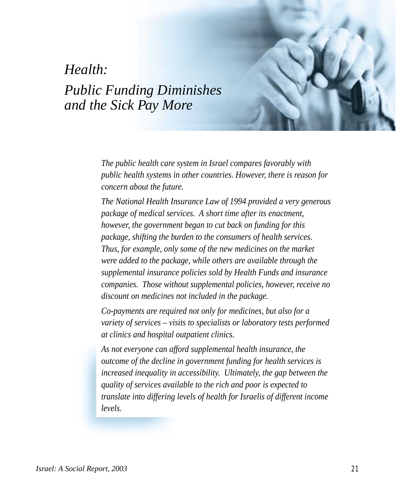### *Health:*

# *Public Funding Diminishes and the Sick Pay More*

*The public health care system in Israel compares favorably with public health systems in other countries. However, there is reason for concern about the future.*

*The National Health Insurance Law of 1994 provided a very generous package of medical services. A short time after its enactment, however, the government began to cut back on funding for this package, shifting the burden to the consumers of health services. Thus, for example, only some of the new medicines on the market were added to the package, while others are available through the supplemental insurance policies sold by Health Funds and insurance companies. Those without supplemental policies, however, receive no discount on medicines not included in the package.*

*Co-payments are required not only for medicines, but also for a variety of services – visits to specialists or laboratory tests performed at clinics and hospital outpatient clinics.*

*As not everyone can afford supplemental health insurance, the outcome of the decline in government funding for health services is increased inequality in accessibility. Ultimately, the gap between the quality of services available to the rich and poor is expected to translate into differing levels of health for Israelis of different income levels.*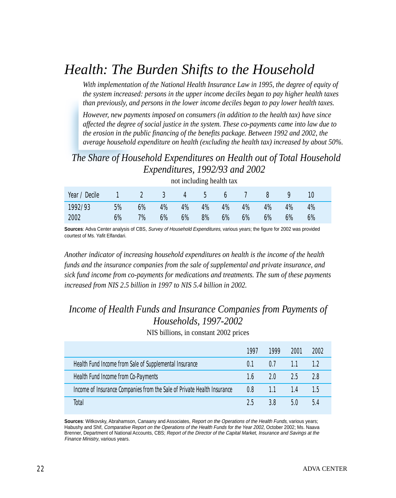# *Health: The Burden Shifts to the Household*

*With implementation of the National Health Insurance Law in 1995, the degree of equity of the system increased: persons in the upper income deciles began to pay higher health taxes than previously, and persons in the lower income deciles began to pay lower health taxes.*

*However, new payments imposed on consumers (in addition to the health tax) have since affected the degree of social justice in the system. These co-payments came into law due to the erosion in the public financing of the benefits package. Between 1992 and 2002, the average household expenditure on health (excluding the health tax) increased by about 50%.*

### *The Share of Household Expenditures on Health out of Total Household Expenditures, 1992/93 and 2002*

| Year / Decile 1 2 3 4 5 6 7 8 9 |       |    |       |    |    |       |                |       | 10 |  |
|---------------------------------|-------|----|-------|----|----|-------|----------------|-------|----|--|
| 1992/93                         | 5%    | 6% | 4%    |    |    |       | 4% 4% 4% 4% 4% | $4\%$ | 4% |  |
| 2002                            | $6\%$ | 7% | $6\%$ | 6% | 8% | 6% 6% | $-6\%$         | 6%    | 6% |  |

not including health tax

**Sources**: Adva Center analysis of CBS, Survey of Household Expenditures, various years; the figure for 2002 was provided courtest of Ms. Yafit Elfandari.

*Another indicator of increasing household expenditures on health is the income of the health funds and the insurance companies from the sale of supplemental and private insurance, and sick fund income from co-payments for medications and treatments. The sum of these payments increased from NIS 2.5 billion in 1997 to NIS 5.4 billion in 2002.*

### *Income of Health Funds and Insurance Companies from Payments of Households, 1997-2002*

NIS billions, in constant 2002 prices

|                                                                         | 1997 | 1999 | 2001 | 2002 |
|-------------------------------------------------------------------------|------|------|------|------|
| Health Fund Income from Sale of Supplemental Insurance                  | 0.1  | 0.7  | 1.1  | 12   |
| Health Fund Income from Co-Payments                                     | 1.6  | 20   | 2.5  | 28   |
| Income of Insurance Companies from the Sale of Private Health Insurance | 0.8  | 1.1  | 14   | 15   |
| Total                                                                   | 25   | 3 R  | 5.0  | 5.4  |

**Sources**: Witkovsky, Abrahamson, Canaany and Associates, Report on the Operations of the Health Funds, various years; Habushy and Shif, Comparative Report on the Operations of the Health Funds for the Year 2002, October 2002; Ms. Naava Brenner, Department of National Accounts, CBS; Report of the Director of the Capital Market, Insurance and Savings at the Finance Ministry, various years.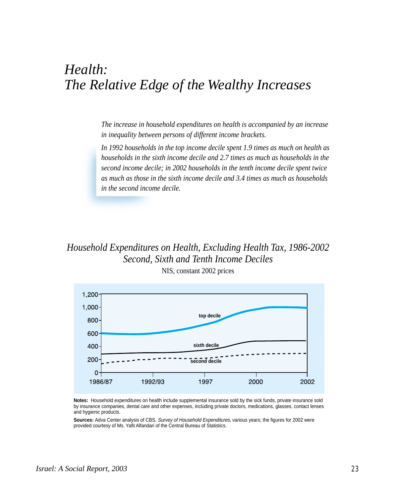# *Health: The Relative Edge of the Wealthy Increases*

*The increase in household expenditures on health is accompanied by an increase in inequality between persons of different income brackets.*

*In 1992 households in the top income decile spent 1.9 times as much on health as households in the sixth income decile and 2.7 times as much as households in the second income decile; in 2002 households in the tenth income decile spent twice as much as those in the sixth income decile and 3.4 times as much as households in the second income decile.*

### *Household Expenditures on Health, Excluding Health Tax, 1986-2002 Second, Sixth and Tenth Income Deciles* NIS, constant 2002 prices



**Notes:** Household expenditures on health include supplemental insurance sold by the sick funds, private insurance sold by insurance companies, dental care and other expenses, including private doctors, medications, glasses, contact lenses and hygienic products.

**Sources:** Adva Center analysis of CBS, Survey of Household Expenditures, various years; the figures for 2002 were provided courtesy of Ms. Yafit Alfandari of the Central Bureau of Statistics.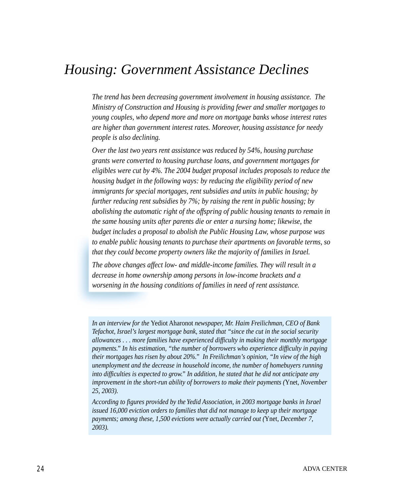### *Housing: Government Assistance Declines*

*The trend has been decreasing government involvement in housing assistance. The Ministry of Construction and Housing is providing fewer and smaller mortgages to young couples, who depend more and more on mortgage banks whose interest rates are higher than government interest rates. Moreover, housing assistance for needy people is also declining.*

*Over the last two years rent assistance was reduced by 54%, housing purchase grants were converted to housing purchase loans, and government mortgages for eligibles were cut by 4%. The 2004 budget proposal includes proposals to reduce the housing budget in the following ways: by reducing the eligibility period of new immigrants for special mortgages, rent subsidies and units in public housing; by further reducing rent subsidies by 7%; by raising the rent in public housing; by abolishing the automatic right of the offspring of public housing tenants to remain in the same housing units after parents die or enter a nursing home; likewise, the budget includes a proposal to abolish the Public Housing Law, whose purpose was to enable public housing tenants to purchase their apartments on favorable terms, so that they could become property owners like the majority of families in Israel.*

*The above changes affect low- and middle-income families. They will result in a decrease in home ownership among persons in low-income brackets and a worsening in the housing conditions of families in need of rent assistance.*

*In an interview for the* Yediot Aharonot *newspaper, Mr. Haim Freilichman, CEO of Bank Tefachot, Israel's largest mortgage bank, stated that "since the cut in the social security allowances . . . more families have experienced difficulty in making their monthly mortgage payments." In his estimation, "the number of borrowers who experience difficulty in paying their mortgages has risen by about 20%." In Freilichman's opinion, "In view of the high unemployment and the decrease in household income, the number of homebuyers running into difficulties is expected to grow." In addition, he stated that he did not anticipate any improvement in the short-run ability of borrowers to make their payments (*Ynet*, November 25, 2003).*

*According to figures provided by the Yedid Association, in 2003 mortgage banks in Israel issued 16,000 eviction orders to families that did not manage to keep up their mortgage payments; among these, 1,500 evictions were actually carried out (*Ynet*, December 7, 2003).*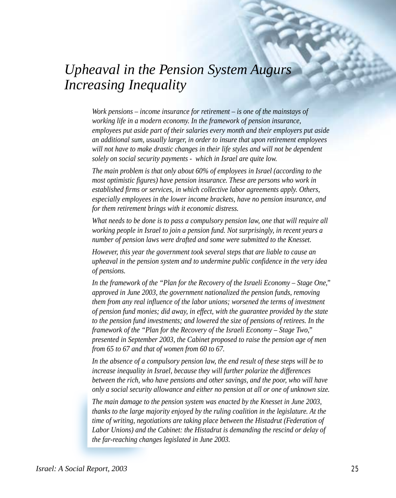# *Upheaval in the Pension System Augurs Increasing Inequality*

*Work pensions – income insurance for retirement – is one of the mainstays of working life in a modern economy. In the framework of pension insurance, employees put aside part of their salaries every month and their employers put aside an additional sum, usually larger, in order to insure that upon retirement employees will not have to make drastic changes in their life styles and will not be dependent solely on social security payments - which in Israel are quite low.*

*The main problem is that only about 60% of employees in Israel (according to the most optimistic figures) have pension insurance. These are persons who work in established firms or services, in which collective labor agreements apply. Others, especially employees in the lower income brackets, have no pension insurance, and for them retirement brings with it economic distress.*

*What needs to be done is to pass a compulsory pension law, one that will require all working people in Israel to join a pension fund. Not surprisingly, in recent years a number of pension laws were drafted and some were submitted to the Knesset.*

*However, this year the government took several steps that are liable to cause an upheaval in the pension system and to undermine public confidence in the very idea of pensions.*

*In the framework of the "Plan for the Recovery of the Israeli Economy – Stage One," approved in June 2003, the government nationalized the pension funds, removing them from any real influence of the labor unions; worsened the terms of investment of pension fund monies; did away, in effect, with the guarantee provided by the state to the pension fund investments; and lowered the size of pensions of retirees. In the framework of the "Plan for the Recovery of the Israeli Economy – Stage Two," presented in September 2003, the Cabinet proposed to raise the pension age of men from 65 to 67 and that of women from 60 to 67.*

*In the absence of a compulsory pension law, the end result of these steps will be to increase inequality in Israel, because they will further polarize the differences between the rich, who have pensions and other savings, and the poor, who will have only a social security allowance and either no pension at all or one of unknown size.*

*The main damage to the pension system was enacted by the Knesset in June 2003, thanks to the large majority enjoyed by the ruling coalition in the legislature. At the time of writing, negotiations are taking place between the Histadrut (Federation of Labor Unions) and the Cabinet: the Histadrut is demanding the rescind or delay of the far-reaching changes legislated in June 2003.*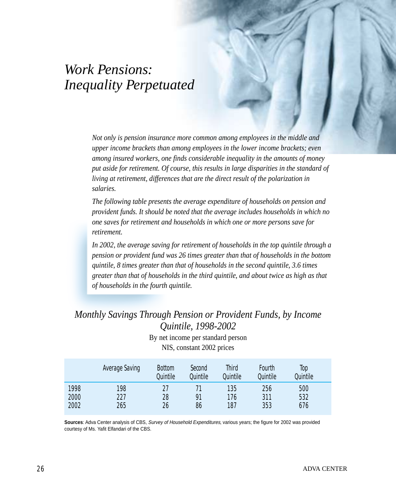# *Work Pensions: Inequality Perpetuated*

*Not only is pension insurance more common among employees in the middle and upper income brackets than among employees in the lower income brackets; even among insured workers, one finds considerable inequality in the amounts of money put aside for retirement. Of course, this results in large disparities in the standard of living at retirement, differences that are the direct result of the polarization in salaries.*

*The following table presents the average expenditure of households on pension and provident funds. It should be noted that the average includes households in which no one saves for retirement and households in which one or more persons save for retirement.*

*In 2002, the average saving for retirement of households in the top quintile through a pension or provident fund was 26 times greater than that of households in the bottom quintile, 8 times greater than that of households in the second quintile, 3.6 times greater than that of households in the third quintile, and about twice as high as that of households in the fourth quintile.*

### *Monthly Savings Through Pension or Provident Funds, by Income Quintile, 1998-2002*

By net income per standard person NIS, constant 2002 prices

|      | <b>Average Saving</b> | <b>Bottom</b><br>Quintile | Second<br>Quintile | <b>Third</b><br>Quintile | Fourth<br>Quintile | Top<br>Quintile |  |
|------|-----------------------|---------------------------|--------------------|--------------------------|--------------------|-----------------|--|
| 1998 | 198                   | 27                        |                    | 135                      | 256                | 500             |  |
| 2000 | 227                   | 28                        | 91                 | 176                      | 311                | 532             |  |
| 2002 | 265                   | 26                        | 86                 | 187                      | 353                | 676             |  |

**Sources**: Adva Center analysis of CBS, Survey of Household Expenditures, various years; the figure for 2002 was provided courtesy of Ms. Yafit Elfandari of the CBS.